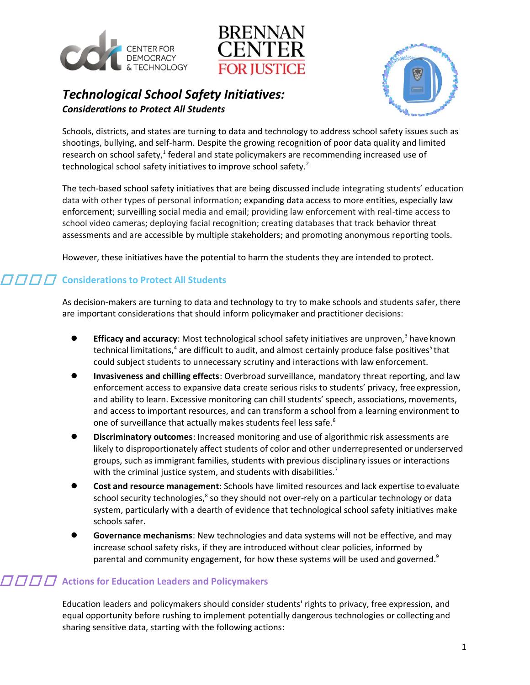



### *Technological School Safety Initiatives: Considerations to Protect All Students*



Schools, districts, and states are turning to data and technology to address school safety issues such as shootings, bullying, and self-harm. Despite the growing recognition of poor data quality and limited research on school safety, $1$  federal and state policymakers are recommending increased use of technological school safety initiatives to improve school safety.<sup>2</sup>

The tech-based school safety initiatives that are being discussed include integrating students' education data with other types of personal information; expanding data access to more entities, especially law enforcement; surveilling social media and email; providing law enforcement with real-time access to school video cameras; deploying facial recognition; creating databases that track behavior threat assessments and are accessible by multiple stakeholders; and promoting anonymous reporting tools.

However, these initiatives have the potential to harm the students they are intended to protect.

#### **Considerations to Protect All Students**

As decision-makers are turning to data and technology to try to make schools and students safer, there are important considerations that should inform policymaker and practitioner decisions:

- **Efficacy and accuracy**: Most technological school safety initiatives are unproven,<sup>3</sup> have known technical limitations,<sup>4</sup> are difficult to audit, and almost certainly produce false positives<sup>5</sup> that could subject students to unnecessary scrutiny and interactions with law enforcement.
- **Invasiveness and chilling effects**: Overbroad surveillance, mandatory threat reporting, and law enforcement access to expansive data create serious risks to students' privacy, free expression, and ability to learn. Excessive monitoring can chill students' speech, associations, movements, and access to important resources, and can transform a school from a learning environment to one of surveillance that actually makes students feel less safe.<sup>6</sup>
- **Discriminatory outcomes**: Increased monitoring and use of algorithmic risk assessments are likely to disproportionately affect students of color and other underrepresented orunderserved groups, such as immigrant families, students with previous disciplinary issues or interactions with the criminal justice system, and students with disabilities.<sup>7</sup>
- **Cost and resource management**: Schools have limited resources and lack expertise to evaluate school security technologies, $^8$  so they should not over-rely on a particular technology or data system, particularly with a dearth of evidence that technological school safety initiatives make schools safer.
- **Governance mechanisms**: New technologies and data systems will not be effective, and may increase school safety risks, if they are introduced without clear policies, informed by parental and community engagement, for how these systems will be used and governed. $9$

#### $\Box$   $\Box$   $\Box$  Actions for Education Leaders and Policymakers

Education leaders and policymakers should consider students' rights to privacy, free expression, and equal opportunity before rushing to implement potentially dangerous technologies or collecting and sharing sensitive data, starting with the following actions: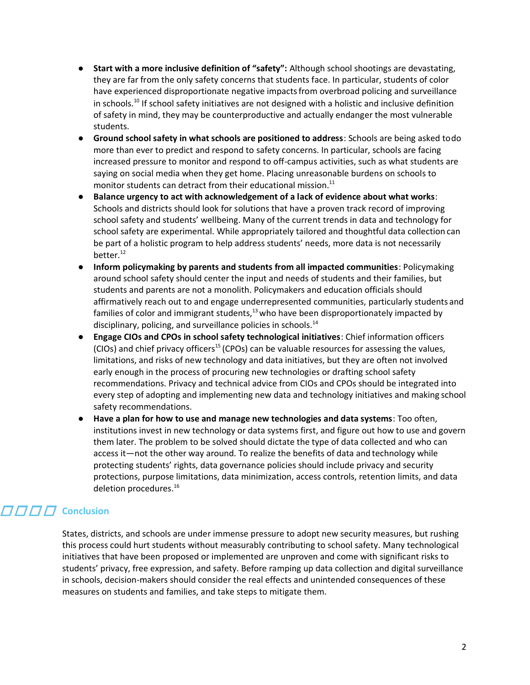- **Start with a more inclusive definition of "safety":** Although school shootings are devastating, they are far from the only safety concerns that students face. In particular, students of color have experienced disproportionate negative impacts from overbroad policing and surveillance in schools.<sup>10</sup> If school safety initiatives are not designed with a holistic and inclusive definition of safety in mind, they may be counterproductive and actually endanger the most vulnerable students.
- **Ground school safety in what schools are positioned to address**: Schools are being asked todo more than ever to predict and respond to safety concerns. In particular, schools are facing increased pressure to monitor and respond to off-campus activities, such as what students are saying on social media when they get home. Placing unreasonable burdens on schools to monitor students can detract from their educational mission.<sup>11</sup>
- **Balance urgency to act with acknowledgement of a lack of evidence about what works**: Schools and districts should look for solutions that have a proven track record of improving school safety and students' wellbeing. Many of the current trends in data and technology for school safety are experimental. While appropriately tailored and thoughtful data collection can be part of a holistic program to help address students' needs, more data is not necessarily better. $12$
- **Inform policymaking by parents and students from all impacted communities**: Policymaking around school safety should center the input and needs of students and their families, but students and parents are not a monolith. Policymakers and education officials should affirmatively reach out to and engage underrepresented communities, particularly students and families of color and immigrant students, $13$  who have been disproportionately impacted by disciplinary, policing, and surveillance policies in schools. $^{14}$
- **Engage CIOs and CPOs in school safety technological initiatives**: Chief information officers (CIOs) and chief privacy officers<sup>15</sup> (CPOs) can be valuable resources for assessing the values, limitations, and risks of new technology and data initiatives, but they are often not involved early enough in the process of procuring new technologies or drafting school safety recommendations. Privacy and technical advice from CIOs and CPOs should be integrated into every step of adopting and implementing new data and technology initiatives and making school safety recommendations.
- **Have a plan for how to use and manage new technologies and data systems**: Too often, institutions invest in new technology or data systems first, and figure out how to use and govern them later. The problem to be solved should dictate the type of data collected and who can access it—not the other way around. To realize the benefits of data and technology while protecting students' rights, data governance policies should include privacy and security protections, purpose limitations, data minimization, access controls, retention limits, and data deletion procedures.<sup>16</sup>

## **FIFIFI** Conclusion

States, districts, and schools are under immense pressure to adopt new security measures, but rushing this process could hurt students without measurably contributing to school safety. Many technological initiatives that have been proposed or implemented are unproven and come with significant risks to students' privacy, free expression, and safety. Before ramping up data collection and digital surveillance in schools, decision-makers should consider the real effects and unintended consequences of these measures on students and families, and take steps to mitigate them.